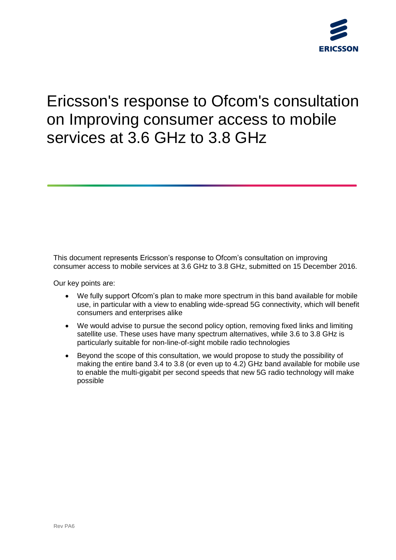

# Ericsson's response to Ofcom's consultation on Improving consumer access to mobile services at 3.6 GHz to 3.8 GHz

This document represents Ericsson's response to Ofcom's consultation on improving consumer access to mobile services at 3.6 GHz to 3.8 GHz, submitted on 15 December 2016.

Our key points are:

- We fully support Ofcom's plan to make more spectrum in this band available for mobile use, in particular with a view to enabling wide-spread 5G connectivity, which will benefit consumers and enterprises alike
- We would advise to pursue the second policy option, removing fixed links and limiting satellite use. These uses have many spectrum alternatives, while 3.6 to 3.8 GHz is particularly suitable for non-line-of-sight mobile radio technologies
- Beyond the scope of this consultation, we would propose to study the possibility of making the entire band 3.4 to 3.8 (or even up to 4.2) GHz band available for mobile use to enable the multi-gigabit per second speeds that new 5G radio technology will make possible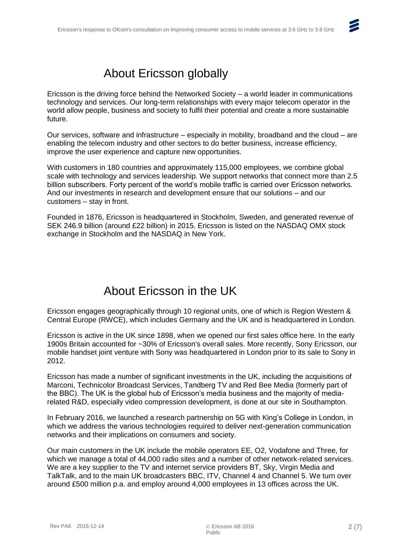# $\blacktriangleright$

## About Ericsson globally

Ericsson is the driving force behind the Networked Society – a world leader in communications technology and services. Our long-term relationships with every major telecom operator in the world allow people, business and society to fulfil their potential and create a more sustainable future.

Our services, software and infrastructure – especially in mobility, broadband and the cloud – are enabling the telecom industry and other sectors to do better business, increase efficiency, improve the user experience and capture new opportunities.

With customers in 180 countries and approximately 115,000 employees, we combine global scale with technology and services leadership. We support networks that connect more than 2.5 billion subscribers. Forty percent of the world's mobile traffic is carried over Ericsson networks. And our investments in research and development ensure that our solutions – and our customers – stay in front.

Founded in 1876, Ericsson is headquartered in Stockholm, Sweden, and generated revenue of SEK 246.9 billion (around £22 billion) in 2015. Ericsson is listed on the NASDAQ OMX stock exchange in Stockholm and the NASDAQ in New York.

## About Ericsson in the UK

Ericsson engages geographically through 10 regional units, one of which is Region Western & Central Europe (RWCE), which includes Germany and the UK and is headquartered in London.

Ericsson is active in the UK since 1898, when we opened our first sales office here. In the early 1900s Britain accounted for ~30% of Ericsson's overall sales. More recently, Sony Ericsson, our mobile handset joint venture with Sony was headquartered in London prior to its sale to Sony in 2012.

Ericsson has made a number of significant investments in the UK, including the acquisitions of Marconi, Technicolor Broadcast Services, Tandberg TV and Red Bee Media (formerly part of the BBC). The UK is the global hub of Ericsson's media business and the majority of mediarelated R&D, especially video compression development, is done at our site in Southampton.

In February 2016, we launched a research partnership on 5G with King's College in London, in which we address the various technologies required to deliver next-generation communication networks and their implications on consumers and society.

Our main customers in the UK include the mobile operators EE, O2, Vodafone and Three, for which we manage a total of 44,000 radio sites and a number of other network-related services. We are a key supplier to the TV and internet service providers BT, Sky, Virgin Media and TalkTalk, and to the main UK broadcasters BBC, ITV, Channel 4 and Channel 5. We turn over around £500 million p.a. and employ around 4,000 employees in 13 offices across the UK.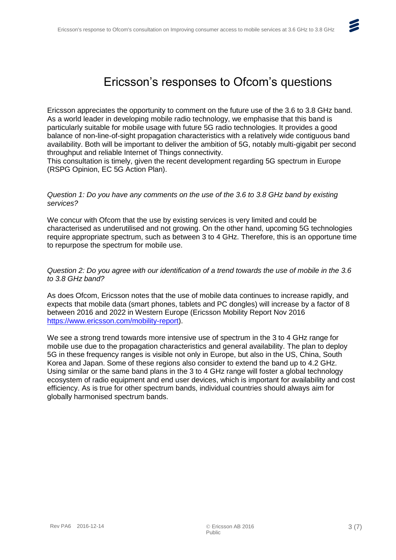

### Ericsson's responses to Ofcom's questions

Ericsson appreciates the opportunity to comment on the future use of the 3.6 to 3.8 GHz band. As a world leader in developing mobile radio technology, we emphasise that this band is particularly suitable for mobile usage with future 5G radio technologies. It provides a good balance of non-line-of-sight propagation characteristics with a relatively wide contiguous band availability. Both will be important to deliver the ambition of 5G, notably multi-gigabit per second throughput and reliable Internet of Things connectivity.

This consultation is timely, given the recent development regarding 5G spectrum in Europe (RSPG Opinion, EC 5G Action Plan).

#### *Question 1: Do you have any comments on the use of the 3.6 to 3.8 GHz band by existing services?*

We concur with Ofcom that the use by existing services is very limited and could be characterised as underutilised and not growing. On the other hand, upcoming 5G technologies require appropriate spectrum, such as between 3 to 4 GHz. Therefore, this is an opportune time to repurpose the spectrum for mobile use.

*Question 2: Do you agree with our identification of a trend towards the use of mobile in the 3.6 to 3.8 GHz band?*

As does Ofcom, Ericsson notes that the use of mobile data continues to increase rapidly, and expects that mobile data (smart phones, tablets and PC dongles) will increase by a factor of 8 between 2016 and 2022 in Western Europe (Ericsson Mobility Report Nov 2016 [https://www.ericsson.com/mobility-report\)](https://www.ericsson.com/mobility-report).

We see a strong trend towards more intensive use of spectrum in the 3 to 4 GHz range for mobile use due to the propagation characteristics and general availability. The plan to deploy 5G in these frequency ranges is visible not only in Europe, but also in the US, China, South Korea and Japan. Some of these regions also consider to extend the band up to 4.2 GHz. Using similar or the same band plans in the 3 to 4 GHz range will foster a global technology ecosystem of radio equipment and end user devices, which is important for availability and cost efficiency. As is true for other spectrum bands, individual countries should always aim for globally harmonised spectrum bands.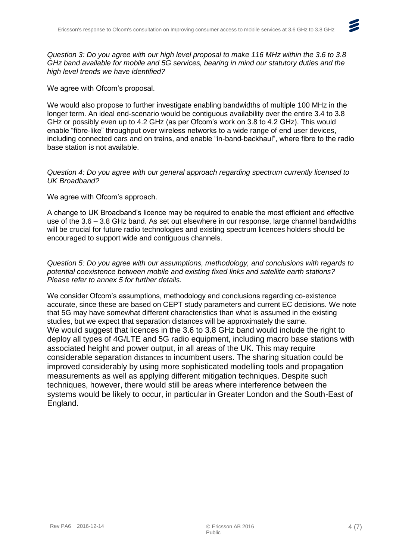

*Question 3: Do you agree with our high level proposal to make 116 MHz within the 3.6 to 3.8 GHz band available for mobile and 5G services, bearing in mind our statutory duties and the high level trends we have identified?*

We agree with Ofcom's proposal.

We would also propose to further investigate enabling bandwidths of multiple 100 MHz in the longer term. An ideal end-scenario would be contiguous availability over the entire 3.4 to 3.8 GHz or possibly even up to 4.2 GHz (as per Ofcom's work on 3.8 to 4.2 GHz). This would enable "fibre-like" throughput over wireless networks to a wide range of end user devices, including connected cars and on trains, and enable "in-band-backhaul", where fibre to the radio base station is not available.

#### *Question 4: Do you agree with our general approach regarding spectrum currently licensed to UK Broadband?*

#### We agree with Ofcom's approach.

A change to UK Broadband's licence may be required to enable the most efficient and effective use of the 3.6 – 3.8 GHz band. As set out elsewhere in our response, large channel bandwidths will be crucial for future radio technologies and existing spectrum licences holders should be encouraged to support wide and contiguous channels.

#### *Question 5: Do you agree with our assumptions, methodology, and conclusions with regards to potential coexistence between mobile and existing fixed links and satellite earth stations? Please refer to annex 5 for further details.*

We consider Ofcom's assumptions, methodology and conclusions regarding co-existence accurate, since these are based on CEPT study parameters and current EC decisions. We note that 5G may have somewhat different characteristics than what is assumed in the existing studies, but we expect that separation distances will be approximately the same. We would suggest that licences in the 3.6 to 3.8 GHz band would include the right to deploy all types of 4G/LTE and 5G radio equipment, including macro base stations with associated height and power output, in all areas of the UK. This may require considerable separation distances to incumbent users. The sharing situation could be improved considerably by using more sophisticated modelling tools and propagation measurements as well as applying different mitigation techniques. Despite such techniques, however, there would still be areas where interference between the systems would be likely to occur, in particular in Greater London and the South-East of England.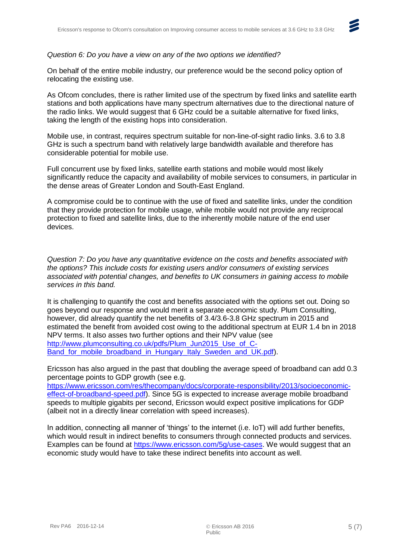#### *Question 6: Do you have a view on any of the two options we identified?*

On behalf of the entire mobile industry, our preference would be the second policy option of relocating the existing use.

As Ofcom concludes, there is rather limited use of the spectrum by fixed links and satellite earth stations and both applications have many spectrum alternatives due to the directional nature of the radio links. We would suggest that 6 GHz could be a suitable alternative for fixed links, taking the length of the existing hops into consideration.

Mobile use, in contrast, requires spectrum suitable for non-line-of-sight radio links. 3.6 to 3.8 GHz is such a spectrum band with relatively large bandwidth available and therefore has considerable potential for mobile use.

Full concurrent use by fixed links, satellite earth stations and mobile would most likely significantly reduce the capacity and availability of mobile services to consumers, in particular in the dense areas of Greater London and South-East England.

A compromise could be to continue with the use of fixed and satellite links, under the condition that they provide protection for mobile usage, while mobile would not provide any reciprocal protection to fixed and satellite links, due to the inherently mobile nature of the end user devices.

*Question 7: Do you have any quantitative evidence on the costs and benefits associated with the options? This include costs for existing users and/or consumers of existing services associated with potential changes, and benefits to UK consumers in gaining access to mobile services in this band.*

It is challenging to quantify the cost and benefits associated with the options set out. Doing so goes beyond our response and would merit a separate economic study. Plum Consulting, however, did already quantify the net benefits of 3.4/3.6-3.8 GHz spectrum in 2015 and estimated the benefit from avoided cost owing to the additional spectrum at EUR 1.4 bn in 2018 NPV terms. It also asses two further options and their NPV value (see [http://www.plumconsulting.co.uk/pdfs/Plum\\_Jun2015\\_Use\\_of\\_C-](http://www.plumconsulting.co.uk/pdfs/Plum_Jun2015_Use_of_C-Band_for_mobile_broadband_in_Hungary_Italy_Sweden_and_UK.pdf)Band for mobile broadband in Hungary Italy Sweden and UK.pdf).

Ericsson has also argued in the past that doubling the average speed of broadband can add 0.3 percentage points to GDP growth (see e.g.

[https://www.ericsson.com/res/thecompany/docs/corporate-responsibility/2013/socioeconomic](https://www.ericsson.com/res/thecompany/docs/corporate-responsibility/2013/socioeconomic-effect-of-broadband-speed.pdf)[effect-of-broadband-speed.pdf\)](https://www.ericsson.com/res/thecompany/docs/corporate-responsibility/2013/socioeconomic-effect-of-broadband-speed.pdf). Since 5G is expected to increase average mobile broadband speeds to multiple gigabits per second, Ericsson would expect positive implications for GDP (albeit not in a directly linear correlation with speed increases).

In addition, connecting all manner of 'things' to the internet (i.e. IoT) will add further benefits, which would result in indirect benefits to consumers through connected products and services. Examples can be found at [https://www.ericsson.com/5g/use-cases.](https://www.ericsson.com/5g/use-cases) We would suggest that an economic study would have to take these indirect benefits into account as well.

 $\blacktriangleright$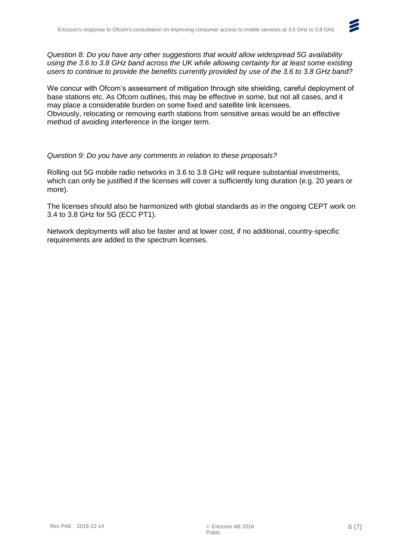

We concur with Ofcom's assessment of mitigation through site shielding, careful deployment of base stations etc. As Ofcom outlines, this may be effective in some, but not all cases, and it may place a considerable burden on some fixed and satellite link licensees. Obviously, relocating or removing earth stations from sensitive areas would be an effective method of avoiding interference in the longer term.

#### *Question 9: Do you have any comments in relation to these proposals?*

Rolling out 5G mobile radio networks in 3.6 to 3.8 GHz will require substantial investments, which can only be justified if the licenses will cover a sufficiently long duration (e.g. 20 years or more).

The licenses should also be harmonized with global standards as in the ongoing CEPT work on 3.4 to 3.8 GHz for 5G (ECC PT1).

Network deployments will also be faster and at lower cost, if no additional, country-specific requirements are added to the spectrum licenses.

 $\boldsymbol{z}$